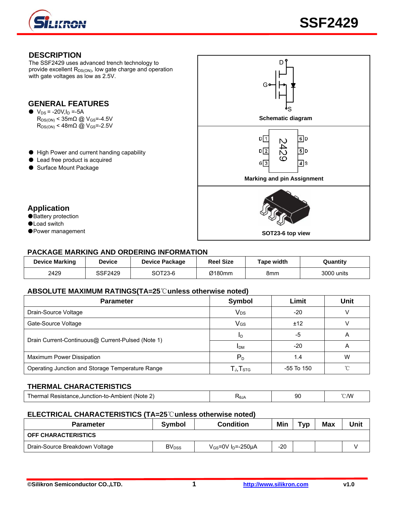

#### **DESCRIPTION**  The SSF2429 uses advanced trench technology to D provide excellent  $R_{DS(ON)}$ , low gate charge and operation with gate voltages as low as 2.5V. G **GENERAL FEATURES**  S  $\bullet$  V<sub>DS</sub> = -20V, I<sub>D</sub> = -5A R<sub>DS(ON)</sub> < 35mΩ @ V<sub>GS</sub>=-4.5V  $R_{DS(ON)}$  < 48m $\Omega$  @ V<sub>GS</sub>=-2.5V  $D\sqrt{1}$  $6D$ N 42  $D$ | 2  $\overline{5}$ D ● High Power and current handing capability ന ● Lead free product is acquired  $G\sqrt{3}$  $\overline{4}$  s ● Surface Mount Package **Marking and pin Assignment Application**  ●Battery protection ●Load switch ●Power management **SOT23-6 top view**

## **PACKAGE MARKING AND ORDERING INFORMATION**

| <b>Device Marking</b> | <b>Device</b> | <b>Device Package</b> | <b>Reel Size</b> | Tape width | Quantity   |
|-----------------------|---------------|-----------------------|------------------|------------|------------|
| 2429                  | SSF2429       | SOT23-6               | Ø180mm           | 8mm        | 3000 units |

#### **ABSOLUTE MAXIMUM RATINGS(TA=25**℃**unless otherwise noted)**

| <b>Parameter</b>                                  | Symbol                                               | Limit      | <b>Unit</b> |  |
|---------------------------------------------------|------------------------------------------------------|------------|-------------|--|
| Drain-Source Voltage                              | <b>V<sub>DS</sub></b>                                | $-20$      |             |  |
| Gate-Source Voltage                               | V <sub>GS</sub>                                      | ±12        |             |  |
|                                                   | ID                                                   | -5         | Α           |  |
| Drain Current-Continuous@ Current-Pulsed (Note 1) | <b>IDM</b>                                           | $-20$      | Α           |  |
| Maximum Power Dissipation                         | $P_D$                                                | 1.4        | W           |  |
| Operating Junction and Storage Temperature Range  | $\mathsf{T}_{\mathsf{J}}, \mathsf{T}_{\textsf{STG}}$ | -55 To 150 |             |  |

#### **THERMAL CHARACTERISTICS**

| l herm<br>Jacietanne<br>.Junction-to-Ambient<br>(Note<br>- 161<br>$\sim$ | <b>NGJA</b><br>. | 90 | $\sim$ MV<br>. . |
|--------------------------------------------------------------------------|------------------|----|------------------|
|                                                                          |                  |    |                  |

#### **ELECTRICAL CHARACTERISTICS (TA=25**℃**unless otherwise noted)**

| <b>Parameter</b>               | Symbol                   | <b>Condition</b>                    | Min   | T <sub>VD</sub> | <b>Max</b> | Unit |
|--------------------------------|--------------------------|-------------------------------------|-------|-----------------|------------|------|
| <b>OFF CHARACTERISTICS</b>     |                          |                                     |       |                 |            |      |
| Drain-Source Breakdown Voltage | <b>BV</b> <sub>DSS</sub> | $V_{GS}$ =0V I <sub>D</sub> =-250µA | $-20$ |                 |            |      |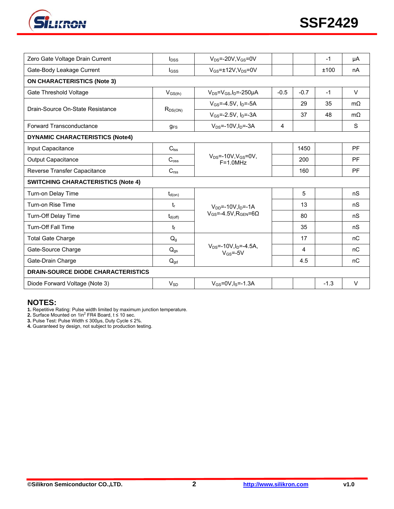

| Zero Gate Voltage Drain Current           | $I_{DSS}$           | $V_{DS} = -20V$ . $V_{GS} = 0V$                              |        |        | $-1$   | μA        |  |
|-------------------------------------------|---------------------|--------------------------------------------------------------|--------|--------|--------|-----------|--|
| Gate-Body Leakage Current                 | $_{\rm lqss}$       | $V_{GS}$ = $\pm$ 12V, V <sub>DS</sub> =0V                    |        |        | ±100   | nA        |  |
| <b>ON CHARACTERISTICS (Note 3)</b>        |                     |                                                              |        |        |        |           |  |
| Gate Threshold Voltage                    | $V_{GS(th)}$        | $V_{DS} = V_{GS}I_D = -250 \mu A$                            | $-0.5$ | $-0.7$ | $-1$   | $\vee$    |  |
| Drain-Source On-State Resistance          | R <sub>DS(ON)</sub> | $V_{GS} = -4.5V$ , $I_D = -5A$                               |        | 29     | 35     | $m\Omega$ |  |
|                                           |                     | $V_{GS}$ =-2.5V, $I_D$ =-3A                                  |        | 37     | 48     | $m\Omega$ |  |
| Forward Transconductance                  | $g_{FS}$            | $V_{DS} = -10V$ , $I_{D} = -3A$                              | 4      |        |        | S         |  |
| <b>DYNAMIC CHARACTERISTICS (Note4)</b>    |                     |                                                              |        |        |        |           |  |
| Input Capacitance                         | $C_{\text{lss}}$    |                                                              |        | 1450   |        | PF        |  |
| <b>Output Capacitance</b>                 | $C_{\text{oss}}$    | $V_{DS}$ =-10V, $V_{GS}$ =0V,<br>$F = 1.0 MHz$               |        | 200    |        | PF        |  |
| Reverse Transfer Capacitance              | $C_{\text{rss}}$    |                                                              |        | 160    |        | PF        |  |
| <b>SWITCHING CHARACTERISTICS (Note 4)</b> |                     |                                                              |        |        |        |           |  |
| Turn-on Delay Time                        | $t_{d(on)}$         |                                                              |        | 5      |        | nS        |  |
| Turn-on Rise Time                         | $t_{r}$             | $V_{DD} = -10V \cdot \ln = -1A$                              |        | 13     |        | nS        |  |
| Turn-Off Delay Time                       | $t_{d(\text{off})}$ | $V_{GS} = -4.5V$ . RGEN=60                                   |        | 80     |        | nS        |  |
| <b>Turn-Off Fall Time</b>                 | t                   |                                                              |        | 35     |        | nS        |  |
| <b>Total Gate Charge</b>                  | Q <sub>g</sub>      |                                                              |        | 17     |        | nC        |  |
| Gate-Source Charge                        | $Q_{qs}$            | $V_{DS}$ =-10V, $I_{D}$ =-4.5A,<br>$V$ <sub>GS</sub> =- $5V$ |        | 4      |        | nC        |  |
| Gate-Drain Charge                         | $Q_{gd}$            |                                                              |        | 4.5    |        | nC        |  |
| <b>DRAIN-SOURCE DIODE CHARACTERISTICS</b> |                     |                                                              |        |        |        |           |  |
| Diode Forward Voltage (Note 3)            | $V_{SD}$            | $V_{GS} = 0V, I_S = -1.3A$                                   |        |        | $-1.3$ | $\vee$    |  |

#### **NOTES:**

**1.** Repetitive Rating: Pulse width limited by maximum junction temperature.<br>**2.** Surface Mounted on 1in<sup>2</sup> FR4 Board, t ≤ 10 sec.

**3.** Pulse Test: Pulse Width ≤ 300μs, Duty Cycle ≤ 2%.

**4.** Guaranteed by design, not subject to production testing.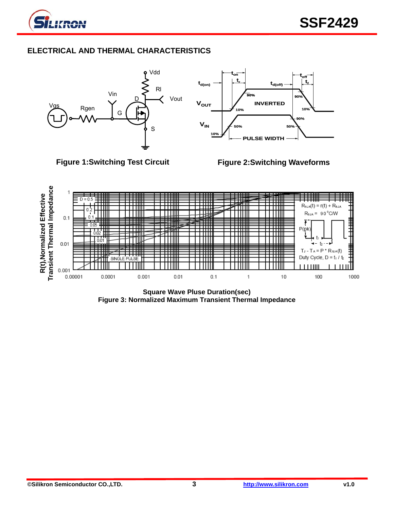

# **ELECTRICAL AND THERMAL CHARACTERISTICS**





**Figure 3: Normalized Maximum Transient Thermal Impedance**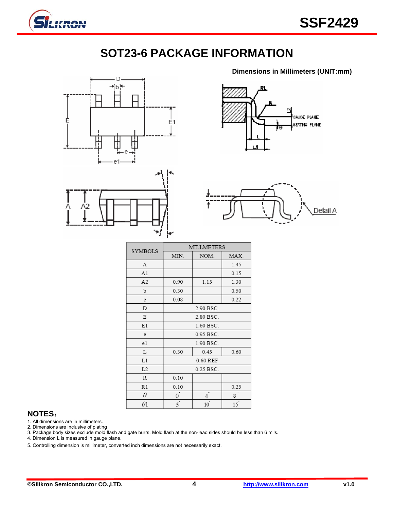

# **SOT23-6 PACKAGE INFORMATION**





ñ GAUGE PLANE SEATING PLANE

**Dimensions in Millimeters (UNIT:mm)**



| <b>SYMBOLS</b> | <b>MILLMETERS</b> |                |                |  |
|----------------|-------------------|----------------|----------------|--|
|                | MIN.              | NOM.           | MAX.           |  |
| А              |                   |                | 1.45           |  |
| A1             |                   |                | 0.15           |  |
| A <sub>2</sub> | 0.90              | 1.15           | 1.30           |  |
| b              | 0.30              |                | 0.50           |  |
| $\mathbf c$    | 0.08              |                | 0.22           |  |
| D              |                   | 2.90 BSC.      |                |  |
| E              |                   | 2.80 BSC.      |                |  |
| E1             |                   | 1.60 BSC.      |                |  |
| e              |                   | 0.95 BSC.      |                |  |
| e1             |                   | 1.90 BSC.      |                |  |
| L              | 0.30              | 0.45           | 0.60           |  |
| L1             | 0.60 REF          |                |                |  |
| L2             | 0.25 BSC.         |                |                |  |
| R              | 0.10              |                |                |  |
| R1             | 0.10              |                | 0.25           |  |
| θ              | $\Omega$          | 4              | 8 <sup>1</sup> |  |
| $\theta$ l     | $\overline{5}$    | $10^{\degree}$ | 15             |  |

## **NOTES**:

1. All dimensions are in millimeters.

2. Dimensions are inclusive of plating

3. Package body sizes exclude mold flash and gate burrs. Mold flash at the non-lead sides should be less than 6 mils.

4. Dimension L is measured in gauge plane.

5. Controlling dimension is millimeter, converted inch dimensions are not necessarily exact.